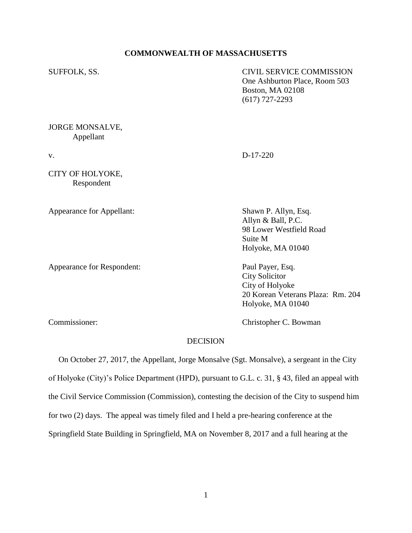#### **COMMONWEALTH OF MASSACHUSETTS**

SUFFOLK, SS. CIVIL SERVICE COMMISSION One Ashburton Place, Room 503 Boston, MA 02108 (617) 727-2293

#### JORGE MONSALVE, Appellant

v. D-17-220

CITY OF HOLYOKE, Respondent

Appearance for Appellant: Shawn P. Allyn, Esq.

Appearance for Respondent: Paul Payer, Esq.

Allyn & Ball, P.C. 98 Lower Westfield Road Suite M Holyoke, MA 01040

City Solicitor City of Holyoke 20 Korean Veterans Plaza: Rm. 204 Holyoke, MA 01040

Commissioner: Christopher C. Bowman

#### DECISION

 On October 27, 2017, the Appellant, Jorge Monsalve (Sgt. Monsalve), a sergeant in the City of Holyoke (City)'s Police Department (HPD), pursuant to G.L. c. 31, § 43, filed an appeal with the Civil Service Commission (Commission), contesting the decision of the City to suspend him for two (2) days. The appeal was timely filed and I held a pre-hearing conference at the Springfield State Building in Springfield, MA on November 8, 2017 and a full hearing at the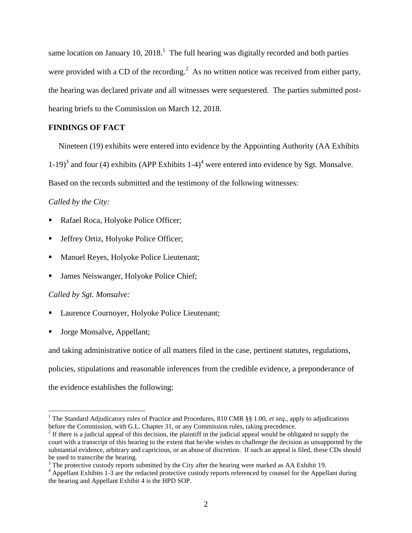same location on January 10, 2018.<sup>1</sup> The full hearing was digitally recorded and both parties were provided with a CD of the recording.<sup>2</sup> As no written notice was received from either party, the hearing was declared private and all witnesses were sequestered. The parties submitted posthearing briefs to the Commission on March 12, 2018.

# **FINDINGS OF FACT**

Nineteen (19) exhibits were entered into evidence by the Appointing Authority (AA Exhibits

1-19)<sup>3</sup> and four (4) exhibits (APP Exhibits 1-4)<sup>4</sup> were entered into evidence by Sgt. Monsalve.

Based on the records submitted and the testimony of the following witnesses:

*Called by the City:*

- Rafael Roca, Holyoke Police Officer;
- Jeffrey Ortiz, Holyoke Police Officer;
- Manuel Reyes, Holyoke Police Lieutenant;
- **James Neiswanger, Holyoke Police Chief;**

#### *Called by Sgt. Monsalve:*

 $\overline{a}$ 

- Laurence Cournoyer, Holyoke Police Lieutenant;
- Jorge Monsalve, Appellant;

and taking administrative notice of all matters filed in the case, pertinent statutes, regulations,

policies, stipulations and reasonable inferences from the credible evidence, a preponderance of

the evidence establishes the following:

<sup>&</sup>lt;sup>1</sup> The Standard Adjudicatory rules of Practice and Procedures, 810 CMR §§ 1.00, *et seq.*, apply to adjudications before the Commission, with G.L. Chapter 31, or any Commission rules, taking precedence.

 $2<sup>2</sup>$  If there is a judicial appeal of this decision, the plaintiff in the judicial appeal would be obligated to supply the court with a transcript of this hearing to the extent that he/she wishes to challenge the decision as unsupported by the substantial evidence, arbitrary and capricious, or an abuse of discretion. If such an appeal is filed, these CDs should be used to transcribe the hearing.

 $3$  The protective custody reports submitted by the City after the hearing were marked as AA Exhibit 19.

<sup>&</sup>lt;sup>4</sup> Appellant Exhibits 1-3 are the redacted protective custody reports referenced by counsel for the Appellant during the hearing and Appellant Exhibit 4 is the HPD SOP.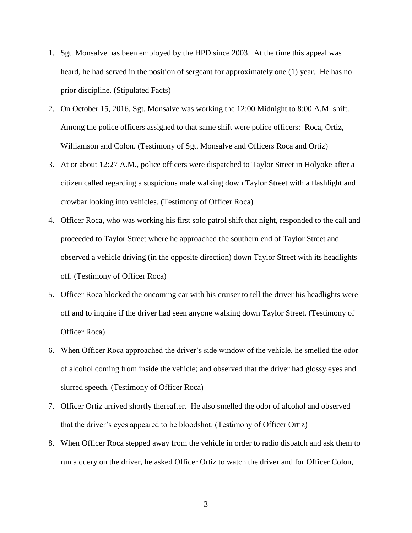- 1. Sgt. Monsalve has been employed by the HPD since 2003. At the time this appeal was heard, he had served in the position of sergeant for approximately one (1) year. He has no prior discipline. (Stipulated Facts)
- 2. On October 15, 2016, Sgt. Monsalve was working the 12:00 Midnight to 8:00 A.M. shift. Among the police officers assigned to that same shift were police officers: Roca, Ortiz, Williamson and Colon. (Testimony of Sgt. Monsalve and Officers Roca and Ortiz)
- 3. At or about 12:27 A.M., police officers were dispatched to Taylor Street in Holyoke after a citizen called regarding a suspicious male walking down Taylor Street with a flashlight and crowbar looking into vehicles. (Testimony of Officer Roca)
- 4. Officer Roca, who was working his first solo patrol shift that night, responded to the call and proceeded to Taylor Street where he approached the southern end of Taylor Street and observed a vehicle driving (in the opposite direction) down Taylor Street with its headlights off. (Testimony of Officer Roca)
- 5. Officer Roca blocked the oncoming car with his cruiser to tell the driver his headlights were off and to inquire if the driver had seen anyone walking down Taylor Street. (Testimony of Officer Roca)
- 6. When Officer Roca approached the driver's side window of the vehicle, he smelled the odor of alcohol coming from inside the vehicle; and observed that the driver had glossy eyes and slurred speech. (Testimony of Officer Roca)
- 7. Officer Ortiz arrived shortly thereafter. He also smelled the odor of alcohol and observed that the driver's eyes appeared to be bloodshot. (Testimony of Officer Ortiz)
- 8. When Officer Roca stepped away from the vehicle in order to radio dispatch and ask them to run a query on the driver, he asked Officer Ortiz to watch the driver and for Officer Colon,

3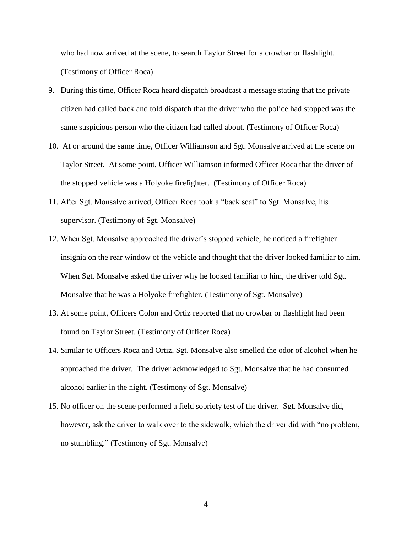who had now arrived at the scene, to search Taylor Street for a crowbar or flashlight. (Testimony of Officer Roca)

- 9. During this time, Officer Roca heard dispatch broadcast a message stating that the private citizen had called back and told dispatch that the driver who the police had stopped was the same suspicious person who the citizen had called about. (Testimony of Officer Roca)
- 10. At or around the same time, Officer Williamson and Sgt. Monsalve arrived at the scene on Taylor Street. At some point, Officer Williamson informed Officer Roca that the driver of the stopped vehicle was a Holyoke firefighter. (Testimony of Officer Roca)
- 11. After Sgt. Monsalve arrived, Officer Roca took a "back seat" to Sgt. Monsalve, his supervisor. (Testimony of Sgt. Monsalve)
- 12. When Sgt. Monsalve approached the driver's stopped vehicle, he noticed a firefighter insignia on the rear window of the vehicle and thought that the driver looked familiar to him. When Sgt. Monsalve asked the driver why he looked familiar to him, the driver told Sgt. Monsalve that he was a Holyoke firefighter. (Testimony of Sgt. Monsalve)
- 13. At some point, Officers Colon and Ortiz reported that no crowbar or flashlight had been found on Taylor Street. (Testimony of Officer Roca)
- 14. Similar to Officers Roca and Ortiz, Sgt. Monsalve also smelled the odor of alcohol when he approached the driver. The driver acknowledged to Sgt. Monsalve that he had consumed alcohol earlier in the night. (Testimony of Sgt. Monsalve)
- 15. No officer on the scene performed a field sobriety test of the driver. Sgt. Monsalve did, however, ask the driver to walk over to the sidewalk, which the driver did with "no problem, no stumbling." (Testimony of Sgt. Monsalve)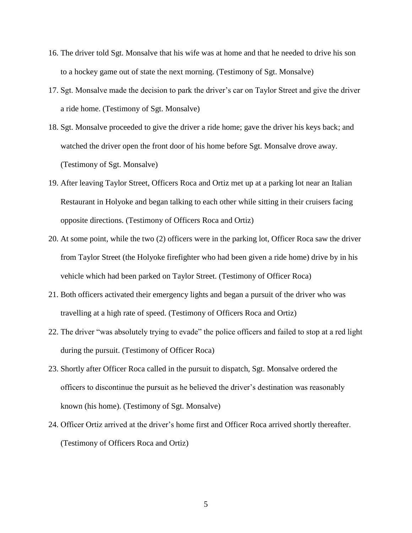- 16. The driver told Sgt. Monsalve that his wife was at home and that he needed to drive his son to a hockey game out of state the next morning. (Testimony of Sgt. Monsalve)
- 17. Sgt. Monsalve made the decision to park the driver's car on Taylor Street and give the driver a ride home. (Testimony of Sgt. Monsalve)
- 18. Sgt. Monsalve proceeded to give the driver a ride home; gave the driver his keys back; and watched the driver open the front door of his home before Sgt. Monsalve drove away. (Testimony of Sgt. Monsalve)
- 19. After leaving Taylor Street, Officers Roca and Ortiz met up at a parking lot near an Italian Restaurant in Holyoke and began talking to each other while sitting in their cruisers facing opposite directions. (Testimony of Officers Roca and Ortiz)
- 20. At some point, while the two (2) officers were in the parking lot, Officer Roca saw the driver from Taylor Street (the Holyoke firefighter who had been given a ride home) drive by in his vehicle which had been parked on Taylor Street. (Testimony of Officer Roca)
- 21. Both officers activated their emergency lights and began a pursuit of the driver who was travelling at a high rate of speed. (Testimony of Officers Roca and Ortiz)
- 22. The driver "was absolutely trying to evade" the police officers and failed to stop at a red light during the pursuit. (Testimony of Officer Roca)
- 23. Shortly after Officer Roca called in the pursuit to dispatch, Sgt. Monsalve ordered the officers to discontinue the pursuit as he believed the driver's destination was reasonably known (his home). (Testimony of Sgt. Monsalve)
- 24. Officer Ortiz arrived at the driver's home first and Officer Roca arrived shortly thereafter. (Testimony of Officers Roca and Ortiz)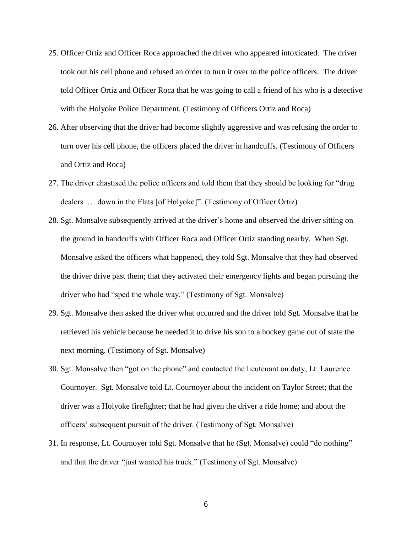- 25. Officer Ortiz and Officer Roca approached the driver who appeared intoxicated. The driver took out his cell phone and refused an order to turn it over to the police officers. The driver told Officer Ortiz and Officer Roca that he was going to call a friend of his who is a detective with the Holyoke Police Department. (Testimony of Officers Ortiz and Roca)
- 26. After observing that the driver had become slightly aggressive and was refusing the order to turn over his cell phone, the officers placed the driver in handcuffs. (Testimony of Officers and Ortiz and Roca)
- 27. The driver chastised the police officers and told them that they should be looking for "drug dealers … down in the Flats [of Holyoke]". (Testimony of Officer Ortiz)
- 28. Sgt. Monsalve subsequently arrived at the driver's home and observed the driver sitting on the ground in handcuffs with Officer Roca and Officer Ortiz standing nearby. When Sgt. Monsalve asked the officers what happened, they told Sgt. Monsalve that they had observed the driver drive past them; that they activated their emergency lights and began pursuing the driver who had "sped the whole way." (Testimony of Sgt. Monsalve)
- 29. Sgt. Monsalve then asked the driver what occurred and the driver told Sgt. Monsalve that he retrieved his vehicle because he needed it to drive his son to a hockey game out of state the next morning. (Testimony of Sgt. Monsalve)
- 30. Sgt. Monsalve then "got on the phone" and contacted the lieutenant on duty, Lt. Laurence Cournoyer. Sgt. Monsalve told Lt. Cournoyer about the incident on Taylor Street; that the driver was a Holyoke firefighter; that he had given the driver a ride home; and about the officers' subsequent pursuit of the driver. (Testimony of Sgt. Monsalve)
- 31. In response, Lt. Cournoyer told Sgt. Monsalve that he (Sgt. Monsalve) could "do nothing" and that the driver "just wanted his truck." (Testimony of Sgt. Monsalve)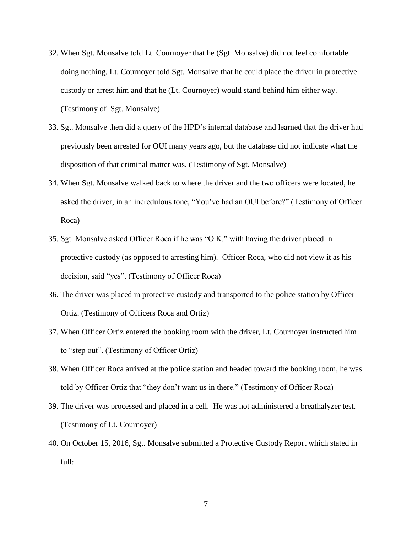- 32. When Sgt. Monsalve told Lt. Cournoyer that he (Sgt. Monsalve) did not feel comfortable doing nothing, Lt. Cournoyer told Sgt. Monsalve that he could place the driver in protective custody or arrest him and that he (Lt. Cournoyer) would stand behind him either way. (Testimony of Sgt. Monsalve)
- 33. Sgt. Monsalve then did a query of the HPD's internal database and learned that the driver had previously been arrested for OUI many years ago, but the database did not indicate what the disposition of that criminal matter was. (Testimony of Sgt. Monsalve)
- 34. When Sgt. Monsalve walked back to where the driver and the two officers were located, he asked the driver, in an incredulous tone, "You've had an OUI before?" (Testimony of Officer Roca)
- 35. Sgt. Monsalve asked Officer Roca if he was "O.K." with having the driver placed in protective custody (as opposed to arresting him). Officer Roca, who did not view it as his decision, said "yes". (Testimony of Officer Roca)
- 36. The driver was placed in protective custody and transported to the police station by Officer Ortiz. (Testimony of Officers Roca and Ortiz)
- 37. When Officer Ortiz entered the booking room with the driver, Lt. Cournoyer instructed him to "step out". (Testimony of Officer Ortiz)
- 38. When Officer Roca arrived at the police station and headed toward the booking room, he was told by Officer Ortiz that "they don't want us in there." (Testimony of Officer Roca)
- 39. The driver was processed and placed in a cell. He was not administered a breathalyzer test. (Testimony of Lt. Cournoyer)
- 40. On October 15, 2016, Sgt. Monsalve submitted a Protective Custody Report which stated in full: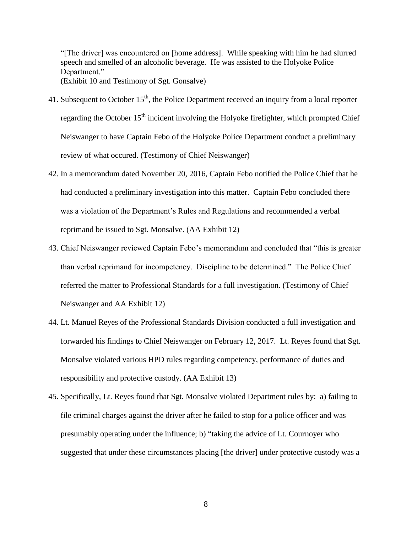"[The driver] was encountered on [home address]. While speaking with him he had slurred speech and smelled of an alcoholic beverage. He was assisted to the Holyoke Police Department." (Exhibit 10 and Testimony of Sgt. Gonsalve)

- 41. Subsequent to October  $15<sup>th</sup>$ , the Police Department received an inquiry from a local reporter regarding the October  $15<sup>th</sup>$  incident involving the Holyoke firefighter, which prompted Chief Neiswanger to have Captain Febo of the Holyoke Police Department conduct a preliminary review of what occured. (Testimony of Chief Neiswanger)
- 42. In a memorandum dated November 20, 2016, Captain Febo notified the Police Chief that he had conducted a preliminary investigation into this matter. Captain Febo concluded there was a violation of the Department's Rules and Regulations and recommended a verbal reprimand be issued to Sgt. Monsalve. (AA Exhibit 12)
- 43. Chief Neiswanger reviewed Captain Febo's memorandum and concluded that "this is greater than verbal reprimand for incompetency. Discipline to be determined." The Police Chief referred the matter to Professional Standards for a full investigation. (Testimony of Chief Neiswanger and AA Exhibit 12)
- 44. Lt. Manuel Reyes of the Professional Standards Division conducted a full investigation and forwarded his findings to Chief Neiswanger on February 12, 2017. Lt. Reyes found that Sgt. Monsalve violated various HPD rules regarding competency, performance of duties and responsibility and protective custody. (AA Exhibit 13)
- 45. Specifically, Lt. Reyes found that Sgt. Monsalve violated Department rules by: a) failing to file criminal charges against the driver after he failed to stop for a police officer and was presumably operating under the influence; b) "taking the advice of Lt. Cournoyer who suggested that under these circumstances placing [the driver] under protective custody was a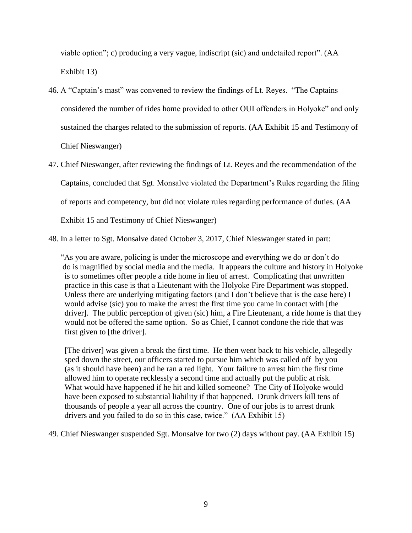viable option"; c) producing a very vague, indiscript (sic) and undetailed report". (AA Exhibit 13)

46. A "Captain's mast" was convened to review the findings of Lt. Reyes. "The Captains considered the number of rides home provided to other OUI offenders in Holyoke" and only sustained the charges related to the submission of reports. (AA Exhibit 15 and Testimony of Chief Nieswanger)

47. Chief Nieswanger, after reviewing the findings of Lt. Reyes and the recommendation of the Captains, concluded that Sgt. Monsalve violated the Department's Rules regarding the filing of reports and competency, but did not violate rules regarding performance of duties. (AA Exhibit 15 and Testimony of Chief Nieswanger)

48. In a letter to Sgt. Monsalve dated October 3, 2017, Chief Nieswanger stated in part:

"As you are aware, policing is under the microscope and everything we do or don't do do is magnified by social media and the media. It appears the culture and history in Holyoke is to sometimes offer people a ride home in lieu of arrest. Complicating that unwritten practice in this case is that a Lieutenant with the Holyoke Fire Department was stopped. Unless there are underlying mitigating factors (and I don't believe that is the case here) I would advise (sic) you to make the arrest the first time you came in contact with [the driver]. The public perception of given (sic) him, a Fire Lieutenant, a ride home is that they would not be offered the same option. So as Chief, I cannot condone the ride that was first given to [the driver].

 [The driver] was given a break the first time. He then went back to his vehicle, allegedly sped down the street, our officers started to pursue him which was called off by you (as it should have been) and he ran a red light. Your failure to arrest him the first time allowed him to operate recklessly a second time and actually put the public at risk. What would have happened if he hit and killed someone? The City of Holyoke would have been exposed to substantial liability if that happened. Drunk drivers kill tens of thousands of people a year all across the country. One of our jobs is to arrest drunk drivers and you failed to do so in this case, twice." (AA Exhibit 15)

49. Chief Nieswanger suspended Sgt. Monsalve for two (2) days without pay. (AA Exhibit 15)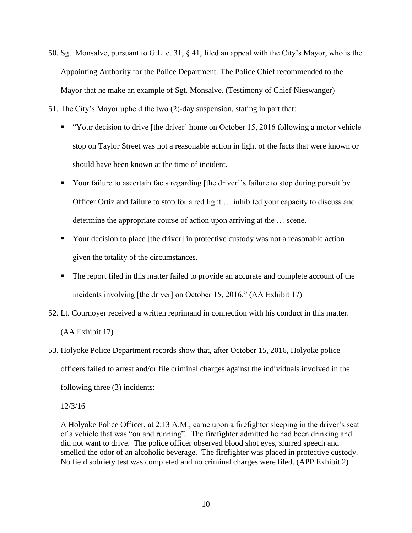- 50. Sgt. Monsalve, pursuant to G.L. c. 31, § 41, filed an appeal with the City's Mayor, who is the Appointing Authority for the Police Department. The Police Chief recommended to the Mayor that he make an example of Sgt. Monsalve. (Testimony of Chief Nieswanger)
- 51. The City's Mayor upheld the two (2)-day suspension, stating in part that:
	- " "Your decision to drive [the driver] home on October 15, 2016 following a motor vehicle stop on Taylor Street was not a reasonable action in light of the facts that were known or should have been known at the time of incident.
	- Your failure to ascertain facts regarding [the driver]'s failure to stop during pursuit by Officer Ortiz and failure to stop for a red light … inhibited your capacity to discuss and determine the appropriate course of action upon arriving at the … scene.
	- Your decision to place [the driver] in protective custody was not a reasonable action given the totality of the circumstances.
	- The report filed in this matter failed to provide an accurate and complete account of the incidents involving [the driver] on October 15, 2016." (AA Exhibit 17)
- 52. Lt. Cournoyer received a written reprimand in connection with his conduct in this matter. (AA Exhibit 17)

# 53. Holyoke Police Department records show that, after October 15, 2016, Holyoke police officers failed to arrest and/or file criminal charges against the individuals involved in the following three (3) incidents:

#### 12/3/16

A Holyoke Police Officer, at 2:13 A.M., came upon a firefighter sleeping in the driver's seat of a vehicle that was "on and running". The firefighter admitted he had been drinking and did not want to drive. The police officer observed blood shot eyes, slurred speech and smelled the odor of an alcoholic beverage. The firefighter was placed in protective custody. No field sobriety test was completed and no criminal charges were filed. (APP Exhibit 2)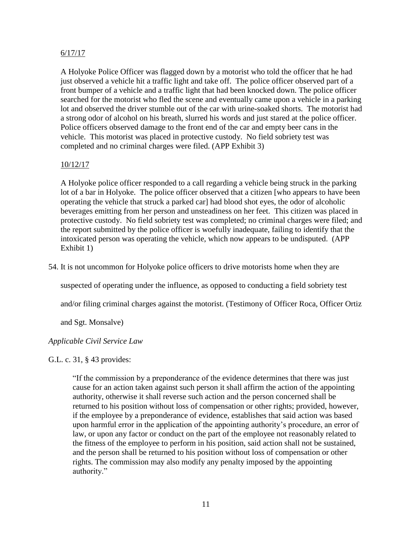# 6/17/17

A Holyoke Police Officer was flagged down by a motorist who told the officer that he had just observed a vehicle hit a traffic light and take off. The police officer observed part of a front bumper of a vehicle and a traffic light that had been knocked down. The police officer searched for the motorist who fled the scene and eventually came upon a vehicle in a parking lot and observed the driver stumble out of the car with urine-soaked shorts. The motorist had a strong odor of alcohol on his breath, slurred his words and just stared at the police officer. Police officers observed damage to the front end of the car and empty beer cans in the vehicle. This motorist was placed in protective custody. No field sobriety test was completed and no criminal charges were filed. (APP Exhibit 3)

# 10/12/17

A Holyoke police officer responded to a call regarding a vehicle being struck in the parking lot of a bar in Holyoke. The police officer observed that a citizen [who appears to have been operating the vehicle that struck a parked car] had blood shot eyes, the odor of alcoholic beverages emitting from her person and unsteadiness on her feet. This citizen was placed in protective custody. No field sobriety test was completed; no criminal charges were filed; and the report submitted by the police officer is woefully inadequate, failing to identify that the intoxicated person was operating the vehicle, which now appears to be undisputed. (APP Exhibit 1)

54. It is not uncommon for Holyoke police officers to drive motorists home when they are

suspected of operating under the influence, as opposed to conducting a field sobriety test

and/or filing criminal charges against the motorist. (Testimony of Officer Roca, Officer Ortiz

and Sgt. Monsalve)

#### *Applicable Civil Service Law*

#### G.L. c. 31, § 43 provides:

"If the commission by a preponderance of the evidence determines that there was just cause for an action taken against such person it shall affirm the action of the appointing authority, otherwise it shall reverse such action and the person concerned shall be returned to his position without loss of compensation or other rights; provided, however, if the employee by a preponderance of evidence, establishes that said action was based upon harmful error in the application of the appointing authority's procedure, an error of law, or upon any factor or conduct on the part of the employee not reasonably related to the fitness of the employee to perform in his position, said action shall not be sustained, and the person shall be returned to his position without loss of compensation or other rights. The commission may also modify any penalty imposed by the appointing authority."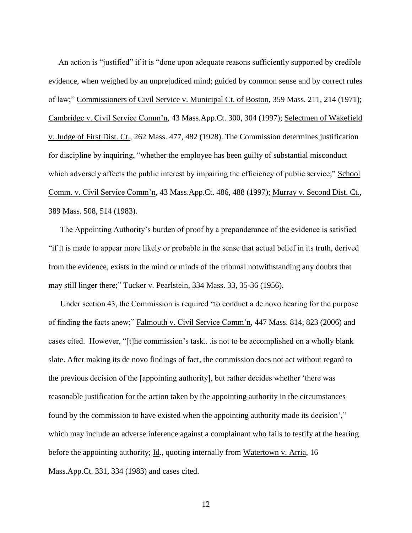An action is "justified" if it is "done upon adequate reasons sufficiently supported by credible evidence, when weighed by an unprejudiced mind; guided by common sense and by correct rules of law;" Commissioners of Civil Service v. Municipal Ct. of Boston, 359 Mass. 211, 214 (1971); Cambridge v. Civil Service Comm'n, 43 Mass.App.Ct. 300, 304 (1997); Selectmen of Wakefield v. Judge of First Dist. Ct., 262 Mass. 477, 482 (1928). The Commission determines justification for discipline by inquiring, "whether the employee has been guilty of substantial misconduct which adversely affects the public interest by impairing the efficiency of public service;" School Comm. v. Civil Service Comm'n, 43 Mass.App.Ct. 486, 488 (1997); Murray v. Second Dist. Ct., 389 Mass. 508, 514 (1983).

The Appointing Authority's burden of proof by a preponderance of the evidence is satisfied "if it is made to appear more likely or probable in the sense that actual belief in its truth, derived from the evidence, exists in the mind or minds of the tribunal notwithstanding any doubts that may still linger there;" Tucker v. Pearlstein, 334 Mass. 33, 35-36 (1956).

Under section 43, the Commission is required "to conduct a de novo hearing for the purpose of finding the facts anew;" Falmouth v. Civil Service Comm'n, 447 Mass. 814, 823 (2006) and cases cited. However, "[t]he commission's task.. .is not to be accomplished on a wholly blank slate. After making its de novo findings of fact, the commission does not act without regard to the previous decision of the [appointing authority], but rather decides whether 'there was reasonable justification for the action taken by the appointing authority in the circumstances found by the commission to have existed when the appointing authority made its decision'," which may include an adverse inference against a complainant who fails to testify at the hearing before the appointing authority; Id., quoting internally from Watertown v. Arria, 16 Mass.App.Ct. 331, 334 (1983) and cases cited.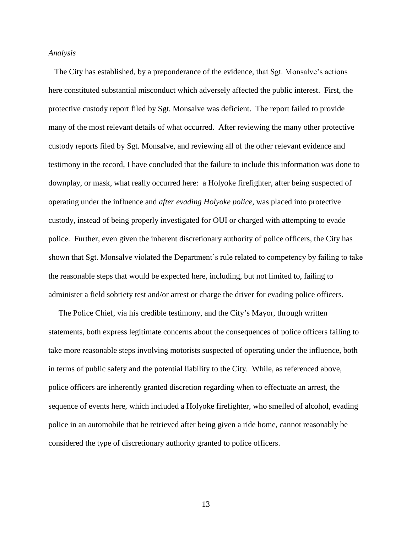#### *Analysis*

 The City has established, by a preponderance of the evidence, that Sgt. Monsalve's actions here constituted substantial misconduct which adversely affected the public interest. First, the protective custody report filed by Sgt. Monsalve was deficient. The report failed to provide many of the most relevant details of what occurred. After reviewing the many other protective custody reports filed by Sgt. Monsalve, and reviewing all of the other relevant evidence and testimony in the record, I have concluded that the failure to include this information was done to downplay, or mask, what really occurred here: a Holyoke firefighter, after being suspected of operating under the influence and *after evading Holyoke police*, was placed into protective custody, instead of being properly investigated for OUI or charged with attempting to evade police. Further, even given the inherent discretionary authority of police officers, the City has shown that Sgt. Monsalve violated the Department's rule related to competency by failing to take the reasonable steps that would be expected here, including, but not limited to, failing to administer a field sobriety test and/or arrest or charge the driver for evading police officers.

 The Police Chief, via his credible testimony, and the City's Mayor, through written statements, both express legitimate concerns about the consequences of police officers failing to take more reasonable steps involving motorists suspected of operating under the influence, both in terms of public safety and the potential liability to the City. While, as referenced above, police officers are inherently granted discretion regarding when to effectuate an arrest, the sequence of events here, which included a Holyoke firefighter, who smelled of alcohol, evading police in an automobile that he retrieved after being given a ride home, cannot reasonably be considered the type of discretionary authority granted to police officers.

13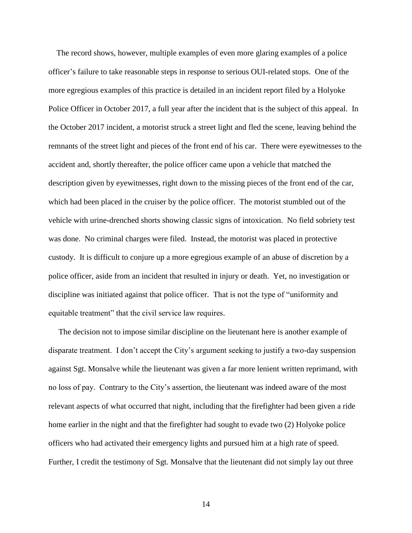The record shows, however, multiple examples of even more glaring examples of a police officer's failure to take reasonable steps in response to serious OUI-related stops. One of the more egregious examples of this practice is detailed in an incident report filed by a Holyoke Police Officer in October 2017, a full year after the incident that is the subject of this appeal. In the October 2017 incident, a motorist struck a street light and fled the scene, leaving behind the remnants of the street light and pieces of the front end of his car. There were eyewitnesses to the accident and, shortly thereafter, the police officer came upon a vehicle that matched the description given by eyewitnesses, right down to the missing pieces of the front end of the car, which had been placed in the cruiser by the police officer. The motorist stumbled out of the vehicle with urine-drenched shorts showing classic signs of intoxication. No field sobriety test was done. No criminal charges were filed. Instead, the motorist was placed in protective custody. It is difficult to conjure up a more egregious example of an abuse of discretion by a police officer, aside from an incident that resulted in injury or death. Yet, no investigation or discipline was initiated against that police officer. That is not the type of "uniformity and equitable treatment" that the civil service law requires.

 The decision not to impose similar discipline on the lieutenant here is another example of disparate treatment. I don't accept the City's argument seeking to justify a two-day suspension against Sgt. Monsalve while the lieutenant was given a far more lenient written reprimand, with no loss of pay. Contrary to the City's assertion, the lieutenant was indeed aware of the most relevant aspects of what occurred that night, including that the firefighter had been given a ride home earlier in the night and that the firefighter had sought to evade two (2) Holyoke police officers who had activated their emergency lights and pursued him at a high rate of speed. Further, I credit the testimony of Sgt. Monsalve that the lieutenant did not simply lay out three

14